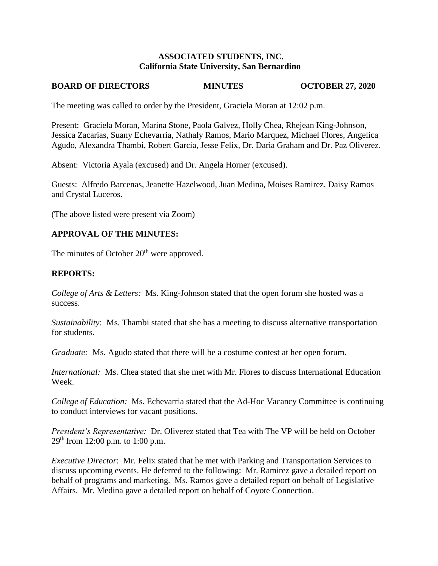### **ASSOCIATED STUDENTS, INC. California State University, San Bernardino**

# **BOARD OF DIRECTORS MINUTES OCTOBER 27, 2020**

The meeting was called to order by the President, Graciela Moran at 12:02 p.m.

Present: Graciela Moran, Marina Stone, Paola Galvez, Holly Chea, Rhejean King-Johnson, Jessica Zacarias, Suany Echevarria, Nathaly Ramos, Mario Marquez, Michael Flores, Angelica Agudo, Alexandra Thambi, Robert Garcia, Jesse Felix, Dr. Daria Graham and Dr. Paz Oliverez.

Absent: Victoria Ayala (excused) and Dr. Angela Horner (excused).

Guests: Alfredo Barcenas, Jeanette Hazelwood, Juan Medina, Moises Ramirez, Daisy Ramos and Crystal Luceros.

(The above listed were present via Zoom)

# **APPROVAL OF THE MINUTES:**

The minutes of October  $20<sup>th</sup>$  were approved.

## **REPORTS:**

*College of Arts & Letters:* Ms. King-Johnson stated that the open forum she hosted was a success.

*Sustainability*: Ms. Thambi stated that she has a meeting to discuss alternative transportation for students.

*Graduate:* Ms. Agudo stated that there will be a costume contest at her open forum.

*International:* Ms. Chea stated that she met with Mr. Flores to discuss International Education Week.

*College of Education:* Ms. Echevarria stated that the Ad-Hoc Vacancy Committee is continuing to conduct interviews for vacant positions.

*President's Representative:* Dr. Oliverez stated that Tea with The VP will be held on October  $29<sup>th</sup>$  from 12:00 p.m. to 1:00 p.m.

*Executive Director*: Mr. Felix stated that he met with Parking and Transportation Services to discuss upcoming events. He deferred to the following: Mr. Ramirez gave a detailed report on behalf of programs and marketing. Ms. Ramos gave a detailed report on behalf of Legislative Affairs. Mr. Medina gave a detailed report on behalf of Coyote Connection.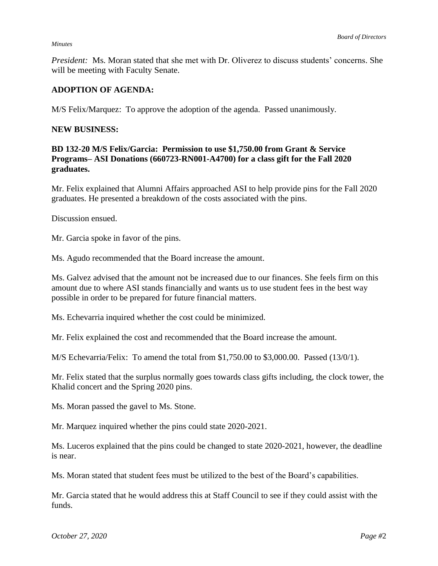#### *Minutes*

*President:* Ms. Moran stated that she met with Dr. Oliverez to discuss students' concerns. She will be meeting with Faculty Senate.

## **ADOPTION OF AGENDA:**

M/S Felix/Marquez: To approve the adoption of the agenda. Passed unanimously.

### **NEW BUSINESS:**

### **BD 132-20 M/S Felix/Garcia: Permission to use \$1,750.00 from Grant & Service Programs– ASI Donations (660723-RN001-A4700) for a class gift for the Fall 2020 graduates.**

Mr. Felix explained that Alumni Affairs approached ASI to help provide pins for the Fall 2020 graduates. He presented a breakdown of the costs associated with the pins.

Discussion ensued.

Mr. Garcia spoke in favor of the pins.

Ms. Agudo recommended that the Board increase the amount.

Ms. Galvez advised that the amount not be increased due to our finances. She feels firm on this amount due to where ASI stands financially and wants us to use student fees in the best way possible in order to be prepared for future financial matters.

Ms. Echevarria inquired whether the cost could be minimized.

Mr. Felix explained the cost and recommended that the Board increase the amount.

M/S Echevarria/Felix: To amend the total from \$1,750.00 to \$3,000.00. Passed (13/0/1).

Mr. Felix stated that the surplus normally goes towards class gifts including, the clock tower, the Khalid concert and the Spring 2020 pins.

Ms. Moran passed the gavel to Ms. Stone.

Mr. Marquez inquired whether the pins could state 2020-2021.

Ms. Luceros explained that the pins could be changed to state 2020-2021, however, the deadline is near.

Ms. Moran stated that student fees must be utilized to the best of the Board's capabilities.

Mr. Garcia stated that he would address this at Staff Council to see if they could assist with the funds.